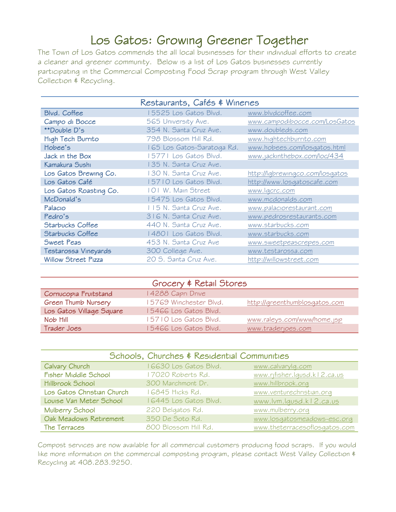## Los Gatos: Growing Greener Together

The Town of Los Gatos commends the all local businesses for their individual efforts to create a cleaner and greener community. Below is a list of Los Gatos businesses currently participating in the Commercial Composting Food Scrap program through West Valley Collection & Recycling.

| Restaurants, Cafés & Wineries |                            |                                 |  |
|-------------------------------|----------------------------|---------------------------------|--|
| Blvd. Coffee                  | 5525 Los Gatos Blvd.       | www.blvdcoffee.com              |  |
| Campo di Bocce                | 565 University Ave.        | www.campodibocce.com/LosGatos   |  |
| **Double D's                  | 354 N. Santa Cruz Ave.     | www.doubleds.com                |  |
| High Tech Burrito             | 798 Blossom Hill Rd.       | www.hightechburrito.com         |  |
| Hobee's                       | 165 Los Gatos-Saratoga Rd. | www.hobees.com/losqatos.html    |  |
| Jack in the Box               | 15771 Los Gatos Blvd.      | www.jackinthebox.com/loc/434    |  |
| Kamakura Sushi                | 135 N. Santa Cruz Ave.     |                                 |  |
| Los Gatos Brewing Co.         | 130 N. Santa Cruz Ave.     | http://lqbrewingco.com/losqatos |  |
| Los Gatos Café                | 15710 Los Gatos Blvd.      | http://www.losqatoscafe.com     |  |
| Los Gatos Roasting Co.        | 101 W. Main Street         | www.lqcrc.com                   |  |
| McDonald's                    | 5475 Los Gatos Blvd.       | www.mcdonalds.com               |  |
| Palacio                       | 115 N. Santa Cruz Ave.     | www.palaciorestaurant.com       |  |
| Pedro's                       | 316 N. Santa Cruz Ave.     | www.pedrosrestaurants.com       |  |
| <b>Starbucks Coffee</b>       | 440 N. Santa Cruz Ave.     | www.starbucks.com               |  |
| <b>Starbucks Coffee</b>       | 14801 Los Gatos Blvd.      | www.starbucks.com               |  |
| Sweet Peas                    | 453 N. Santa Cruz Ave      | www.sweetpeascrepes.com         |  |
| Testarossa Vineyards          | 300 College Ave.           | www.testarossa.com              |  |
| <b>Willow Street Pizza</b>    | 20 S. Santa Cruz Ave.      | http://willowstreet.com         |  |

| Grocery & Retail Stores  |                       |                               |  |  |
|--------------------------|-----------------------|-------------------------------|--|--|
| Cornucopia Fruitstand    | 4288 Capri Drive      |                               |  |  |
| Green Thumb Nursery      | 5769 Winchester Blvd. | http://greenthumblosgatos.com |  |  |
| Los Gatos Village Square | 5466 Los Gatos Blvd.  |                               |  |  |
| Nob Hill                 | 5710 Los Gatos Blvd.  | www.raleys.com/www/home.jsp   |  |  |
| Trader Joes              | 5466 Los Gatos Blvd.  | www.traderjoes.com            |  |  |

| Schools, Churches & Residential Communities |                        |                               |  |
|---------------------------------------------|------------------------|-------------------------------|--|
| Calvary Church                              | I 6630 Los Gatos Blvd. | www.calvarylg.com             |  |
| Fisher Middle School                        | 17020 Roberts Rd.      | www.rjfisher.lqusd.kl2.ca.us  |  |
| Hillbrook School                            | 300 Marchmont Dr.      | www.hillbrook.org             |  |
| Los Gatos Christian Church                  | I 6845 Hicks Rd.       | www.venturechristian.org      |  |
| Louise Van Meter School                     | I 6445 Los Gatos Blvd. | www.lvm.lqusd.kl2.ca.us       |  |
| Mulberry School                             | 220 Belgatos Rd.       | www.mulberry.org              |  |
| Oak Meadows Retirement                      | 350 De Soto Rd.        | www.losqatosmeadows-esc.org   |  |
| The Terraces                                | 800 Blossom Hill Rd.   | www.theterracesoflosgatos.com |  |

Compost services are now available for all commercial customers producing food scraps. If you would like more information on the commercial composting program, please contact West Valley Collection \$ Recycling at 408.283.9250.